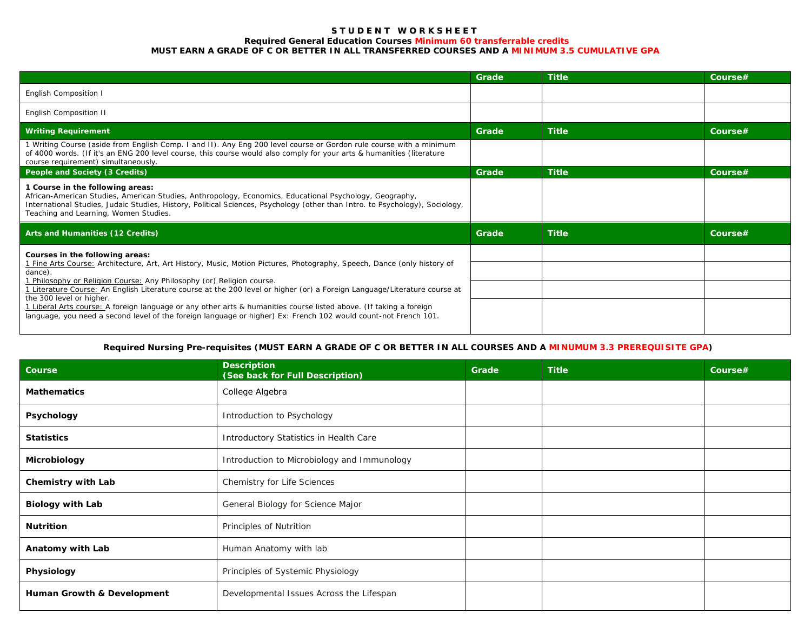#### **S T U D E N T W O R K S H E E T Required General Education Courses Minimum 60 transferrable credits MUST EARN A GRADE OF C OR BETTER IN ALL TRANSFERRED COURSES AND A MINIMUM 3.5 CUMULATIVE GPA**

|                                                                                                                                                                                                                                                                                                                                                                                                                                                                                                                                                                                                                                                  | Grade | <b>Title</b> | Course# |
|--------------------------------------------------------------------------------------------------------------------------------------------------------------------------------------------------------------------------------------------------------------------------------------------------------------------------------------------------------------------------------------------------------------------------------------------------------------------------------------------------------------------------------------------------------------------------------------------------------------------------------------------------|-------|--------------|---------|
| English Composition I                                                                                                                                                                                                                                                                                                                                                                                                                                                                                                                                                                                                                            |       |              |         |
| English Composition II                                                                                                                                                                                                                                                                                                                                                                                                                                                                                                                                                                                                                           |       |              |         |
| <b>Writing Requirement</b>                                                                                                                                                                                                                                                                                                                                                                                                                                                                                                                                                                                                                       | Grade | <b>Title</b> | Course# |
| 1 Writing Course (aside from English Comp. I and II). Any Eng 200 level course or Gordon rule course with a minimum<br>of 4000 words. (If it's an ENG 200 level course, this course would also comply for your arts & humanities (literature<br>course requirement) simultaneously.                                                                                                                                                                                                                                                                                                                                                              |       |              |         |
| People and Society (3 Credits)                                                                                                                                                                                                                                                                                                                                                                                                                                                                                                                                                                                                                   | Grade | <b>Title</b> | Course# |
| 1 Course in the following areas:<br>African-American Studies, American Studies, Anthropology, Economics, Educational Psychology, Geography,<br>International Studies, Judaic Studies, History, Political Sciences, Psychology (other than Intro. to Psychology), Sociology,<br>Teaching and Learning, Women Studies.                                                                                                                                                                                                                                                                                                                             |       |              |         |
| Arts and Humanities (12 Credits)                                                                                                                                                                                                                                                                                                                                                                                                                                                                                                                                                                                                                 | Grade | <b>Title</b> | Course# |
| Courses in the following areas:<br>1 Fine Arts Course: Architecture, Art, Art History, Music, Motion Pictures, Photography, Speech, Dance (only history of<br>dance).<br>1 Philosophy or Religion Course: Any Philosophy (or) Religion course.<br>1 Literature Course: An English Literature course at the 200 level or higher (or) a Foreign Language/Literature course at<br>the 300 level or higher.<br>1 Liberal Arts course: A foreign language or any other arts & humanities course listed above. (If taking a foreign<br>language, you need a second level of the foreign language or higher) Ex: French 102 would count-not French 101. |       |              |         |
|                                                                                                                                                                                                                                                                                                                                                                                                                                                                                                                                                                                                                                                  |       |              |         |
|                                                                                                                                                                                                                                                                                                                                                                                                                                                                                                                                                                                                                                                  |       |              |         |
|                                                                                                                                                                                                                                                                                                                                                                                                                                                                                                                                                                                                                                                  |       |              |         |

# **Required Nursing Pre-requisites (MUST EARN A GRADE OF C OR BETTER IN ALL COURSES AND A MINUMUM 3.3 PREREQUISITE GPA)**

| Course                     | <b>Description</b><br>(See back for Full Description) | Grade | <b>Title</b> | Course# |
|----------------------------|-------------------------------------------------------|-------|--------------|---------|
| <b>Mathematics</b>         | College Algebra                                       |       |              |         |
| Psychology                 | Introduction to Psychology                            |       |              |         |
| <b>Statistics</b>          | Introductory Statistics in Health Care                |       |              |         |
| Microbiology               | Introduction to Microbiology and Immunology           |       |              |         |
| Chemistry with Lab         | Chemistry for Life Sciences                           |       |              |         |
| <b>Biology with Lab</b>    | General Biology for Science Major                     |       |              |         |
| <b>Nutrition</b>           | Principles of Nutrition                               |       |              |         |
| Anatomy with Lab           | Human Anatomy with lab                                |       |              |         |
| Physiology                 | Principles of Systemic Physiology                     |       |              |         |
| Human Growth & Development | Developmental Issues Across the Lifespan              |       |              |         |